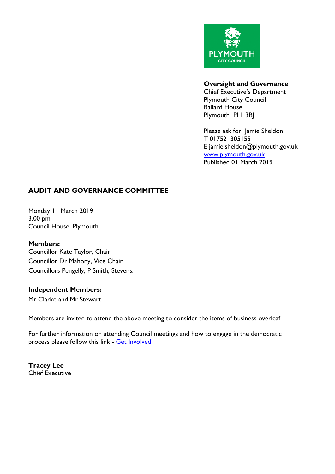

### **Oversight and Governance**

Chief Executive's Department Plymouth City Council Ballard House Plymouth PL1 3BJ

Please ask for Jamie Sheldon T 01752 305155 E jamie.sheldon@plymouth.gov.uk [www.plymouth.gov.uk](https://www.plymouth.gov.uk/councillorscommitteesandmeetings) Published 01 March 2019

# **AUDIT AND GOVERNANCE COMMITTEE**

Monday 11 March 2019 3.00 pm Council House, Plymouth

#### **Members:**

Councillor Kate Taylor, Chair Councillor Dr Mahony, Vice Chair Councillors Pengelly, P Smith, Stevens.

### **Independent Members:**

Mr Clarke and Mr Stewart

Members are invited to attend the above meeting to consider the items of business overleaf.

For further information on attending Council meetings and how to engage in the democratic process please follow this link - Get [Involved](https://www.plymouth.gov.uk/councillorscommitteesandmeetings/getinvolved)

**Tracey Lee** Chief Executive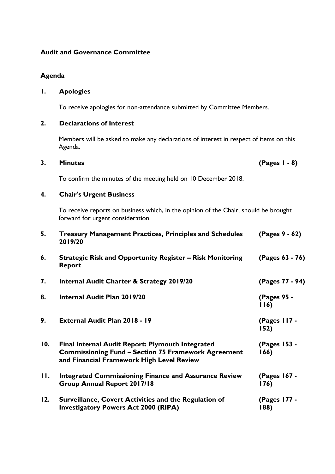### **Audit and Governance Committee**

### **Agenda**

## **1. Apologies**

To receive apologies for non-attendance submitted by Committee Members.

### **2. Declarations of Interest**

Members will be asked to make any declarations of interest in respect of items on this Agenda.

### **3. Minutes (Pages 1 - 8)**

To confirm the minutes of the meeting held on 10 December 2018.

# **4. Chair's Urgent Business**

To receive reports on business which, in the opinion of the Chair, should be brought forward for urgent consideration.

| 5.  | <b>Treasury Management Practices, Principles and Schedules</b><br>2019/20                                                                                          | (Pages 9 - 62)       |
|-----|--------------------------------------------------------------------------------------------------------------------------------------------------------------------|----------------------|
| 6.  | <b>Strategic Risk and Opportunity Register – Risk Monitoring</b><br><b>Report</b>                                                                                  | (Pages 63 - 76)      |
| 7.  | <b>Internal Audit Charter &amp; Strategy 2019/20</b>                                                                                                               | (Pages 77 - 94)      |
| 8.  | <b>Internal Audit Plan 2019/20</b>                                                                                                                                 | (Pages 95 -<br>116)  |
| 9.  | External Audit Plan 2018 - 19                                                                                                                                      | (Pages 117 -<br>152) |
| 10. | <b>Final Internal Audit Report: Plymouth Integrated</b><br><b>Commissioning Fund - Section 75 Framework Agreement</b><br>and Financial Framework High Level Review | (Pages 153 -<br>166) |
| Н.  | <b>Integrated Commissioning Finance and Assurance Review</b><br>Group Annual Report 2017/18                                                                        | (Pages 167 -<br>176) |
| 12. | Surveillance, Covert Activities and the Regulation of<br><b>Investigatory Powers Act 2000 (RIPA)</b>                                                               | (Pages 177 -<br>188) |